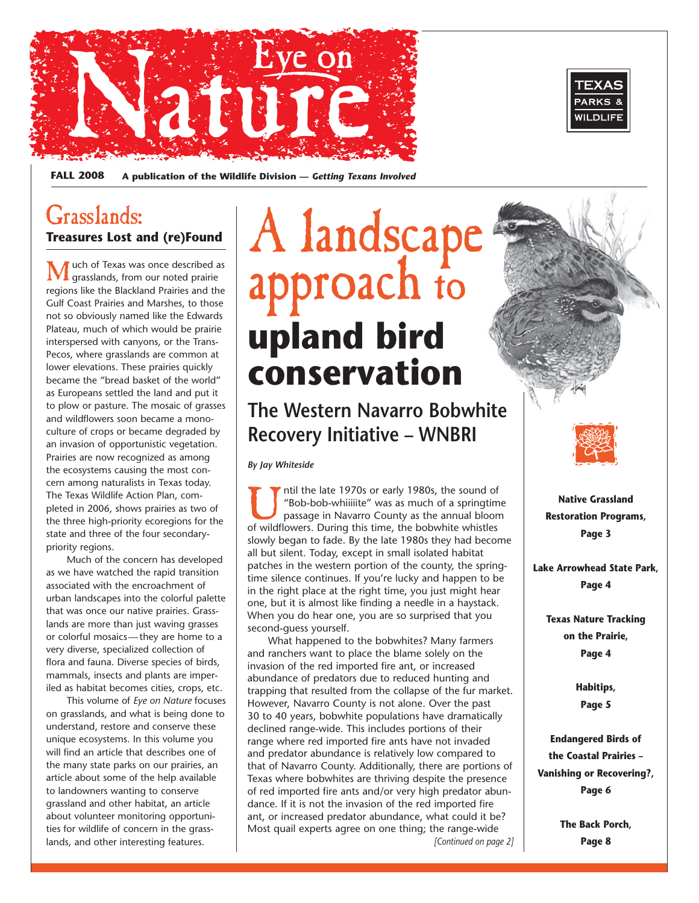



**FALL 2008 A publication of the Wildlife Division —** *Getting Texans Involved* 

## Grasslands: **Treasures Lost and (re)Found**

**M** uch of Texas was once described as grasslands, from our noted prairie regions like the Blackland Prairies and the Gulf Coast Prairies and Marshes, to those not so obviously named like the Edwards Plateau, much of which would be prairie interspersed with canyons, or the Trans-Pecos, where grasslands are common at lower elevations. These prairies quickly became the "bread basket of the world" as Europeans settled the land and put it to plow or pasture. The mosaic of grasses and wildflowers soon became a monoculture of crops or became degraded by an invasion of opportunistic vegetation. Prairies are now recognized as among the ecosystems causing the most concern among naturalists in Texas today. The Texas Wildlife Action Plan, completed in 2006, shows prairies as two of the three high-priority ecoregions for the state and three of the four secondarypriority regions.

Much of the concern has developed as we have watched the rapid transition associated with the encroachment of urban landscapes into the colorful palette that was once our native prairies. Grasslands are more than just waving grasses or colorful mosaics— they are home to a very diverse, specialized collection of flora and fauna. Diverse species of birds, mammals, insects and plants are imperiled as habitat becomes cities, crops, etc.

This volume of *Eye on Nature* focuses on grasslands, and what is being done to understand, restore and conserve these unique ecosystems. In this volume you will find an article that describes one of the many state parks on our prairies, an article about some of the help available to landowners wanting to conserve grassland and other habitat, an article about volunteer monitoring opportunities for wildlife of concern in the grasslands, and other interesting features.

# A landscape approach to **upland bird conservation**

## **The Western Navarro Bobwhite Recovery Initiative – WNBRI**

*By Jay Whiteside* 

Intil the late 1970s or early 1980s, the sound of "Bob-bob-whiiiiite" was as much of a springtime passage in Navarro County as the annual bloom of wildflowers. During this time, the bobwhite whistles "Bob-bob-whiiiiite" was as much of a springtime passage in Navarro County as the annual bloom of wildflowers. During this time, the bobwhite whistles slowly began to fade. By the late 1980s they had become all but silent. Today, except in small isolated habitat patches in the western portion of the county, the springtime silence continues. If you're lucky and happen to be in the right place at the right time, you just might hear one, but it is almost like finding a needle in a haystack. When you do hear one, you are so surprised that you second-guess yourself.

What happened to the bobwhites? Many farmers and ranchers want to place the blame solely on the invasion of the red imported fire ant, or increased abundance of predators due to reduced hunting and trapping that resulted from the collapse of the fur market. However, Navarro County is not alone. Over the past 30 to 40 years, bobwhite populations have dramatically declined range-wide. This includes portions of their range where red imported fire ants have not invaded and predator abundance is relatively low compared to that of Navarro County. Additionally, there are portions of Texas where bobwhites are thriving despite the presence of red imported fire ants and/or very high predator abundance. If it is not the invasion of the red imported fire ant, or increased predator abundance, what could it be? Most quail experts agree on one thing; the range-wide *[Continued on page 2]* 



**Native Grassland Restoration Programs, Page 3** 

**Lake Arrowhead State Park, Page 4** 

> **Texas Nature Tracking on the Prairie, Page 4**

> > **Habitips, Page 5**

**Endangered Birds of the Coastal Prairies – Vanishing or Recovering?, Page 6** 

> **The Back Porch, Page 8**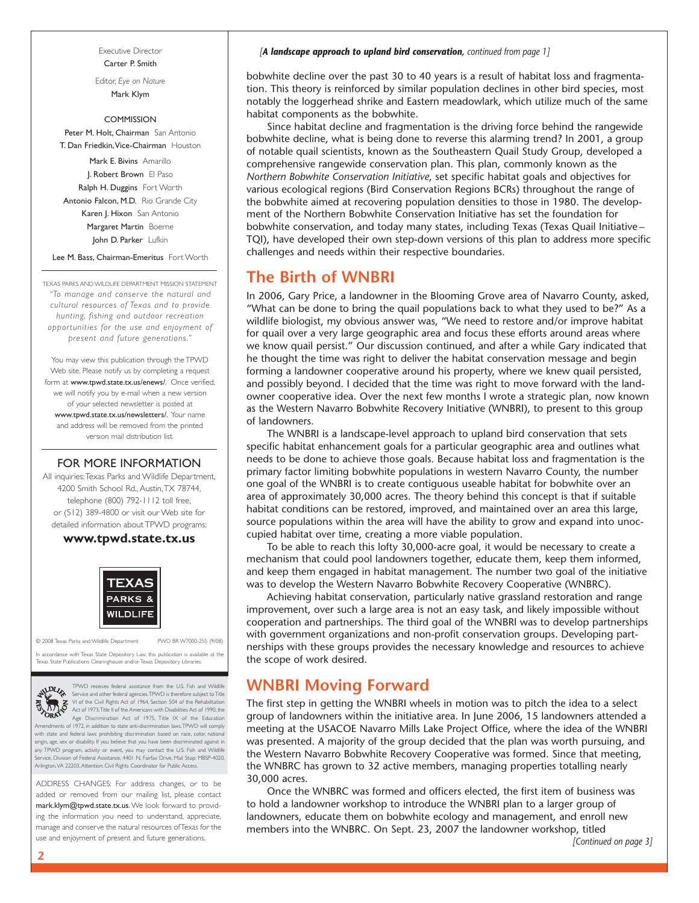Executive Director Carter P. Smith

Editor, *Eye on Nature*  Mark Klym

### **COMMISSION**

Peter M. Holt, Chairman San Antonio T. Dan Friedkin,Vice-Chairman Houston

Mark E. Bivins Amarillo J. Robert Brown El Paso Ralph H. Duggins Fort Worth Antonio Falcon, M.D. Rio Grande City Karen J. Hixon San Antonio Margaret Martin Boerne John D. Parker Lufkin

Lee M. Bass, Chairman-Emeritus Fort Worth

TEXAS PARKS AND WILDLIFE DEPARTMENT MISSION STATEMENT *"To manage and conser ve the natural and cultural resources of Texas and to provide hunting, fishing and outdoor recreation opportunities for the use and enjoyment of present and future generations."* 

 www.tpwd.state.tx.us/newsletters/. Your name You may view this publication through the TPWD Web site. Please notify us by completing a request form at www.tpwd.state.tx.us/enews/. Once verified, we will notify you by e-mail when a new version of your selected newsletter is posted at and address will be removed from the printed version mail distribution list.

## FOR MORE INFORMATION

 4200 Smith School Rd., Austin,TX 78744, All inquiries:Texas Parks and Wildlife Department, telephone (800) 792-1112 toll free, or (512) 389-4800 or visit our Web site for detailed information about TPWD programs:

## **www.tpwd.state.tx.us**



© 2008 Texas Parks and Wildlife Department PWD BR W7000-255 (9/08)

In accordance with Texas State Depository Law, this publication is available at the kas State Publications Clearinghouse and/or Texas Depository Libraries



TPWD receives federal assistance from the U.S. Fish and Wildlife<br>Service and other federal agencies TPWD is therefore subject to Title<br>VI of the Civil Rights Act of 1964, Section 504 of the Rehabilitation<br>Act of 1973,Title

 Arlington,VA 22203, Attention: Civil Rights Coordinator for Public Access. **CRAM** Age Discrimination Act of 1975, Title IX of the Education<br>Amendments of 1972, in addition to state anti-discrimination laws.TPWD will comply with state and federal laws prohibiting discrimination based on race, color, national origin, age, sex or disability. If you believe that you have been discriminated against in any TPWD program, activity or event, you may contact the U.S. Fish and Wildlife<br>Service, Division of Federal Assistance, 4401 N. Fairfax Drive, Mail Stop: MBSP-4020, on of Federal Assistance, 4401 N. Fairfax Drive, Mail Stop: MBSP-4020,

ADDRESS CHANGES: For address changes, or to be added or removed from our mailing list, please contact mark.klym@tpwd.state.tx.us. We look forward to providing the information you need to understand, appreciate, manage and conserve the natural resources of Texas for the use and enjoyment of present and future generations.

### *[A landscape approach to upland bird conservation, continued from page 1]*

bobwhite decline over the past 30 to 40 years is a result of habitat loss and fragmentation. This theory is reinforced by similar population declines in other bird species, most notably the loggerhead shrike and Eastern meadowlark, which utilize much of the same habitat components as the bobwhite.

Since habitat decline and fragmentation is the driving force behind the rangewide bobwhite decline, what is being done to reverse this alarming trend? In 2001, a group of notable quail scientists, known as the Southeastern Quail Study Group, developed a comprehensive rangewide conservation plan. This plan, commonly known as the *Northern Bobwhite Conservation Initiative*, set specific habitat goals and objectives for various ecological regions (Bird Conservation Regions BCRs) throughout the range of the bobwhite aimed at recovering population densities to those in 1980. The development of the Northern Bobwhite Conservation Initiative has set the foundation for bobwhite conservation, and today many states, including Texas (Texas Quail Initiative – TQI), have developed their own step-down versions of this plan to address more specific challenges and needs within their respective boundaries.

## **The Birth of WNBRI**

In 2006, Gary Price, a landowner in the Blooming Grove area of Navarro County, asked, "What can be done to bring the quail populations back to what they used to be?" As a wildlife biologist, my obvious answer was, "We need to restore and/or improve habitat for quail over a very large geographic area and focus these efforts around areas where we know quail persist." Our discussion continued, and after a while Gary indicated that he thought the time was right to deliver the habitat conservation message and begin forming a landowner cooperative around his property, where we knew quail persisted, and possibly beyond. I decided that the time was right to move forward with the landowner cooperative idea. Over the next few months I wrote a strategic plan, now known as the Western Navarro Bobwhite Recovery Initiative (WNBRI), to present to this group of landowners.

The WNBRI is a landscape-level approach to upland bird conservation that sets specific habitat enhancement goals for a particular geographic area and outlines what needs to be done to achieve those goals. Because habitat loss and fragmentation is the primary factor limiting bobwhite populations in western Navarro County, the number one goal of the WNBRI is to create contiguous useable habitat for bobwhite over an area of approximately 30,000 acres. The theory behind this concept is that if suitable habitat conditions can be restored, improved, and maintained over an area this large, source populations within the area will have the ability to grow and expand into unoccupied habitat over time, creating a more viable population.

To be able to reach this lofty 30,000-acre goal, it would be necessary to create a mechanism that could pool landowners together, educate them, keep them informed, and keep them engaged in habitat management. The number two goal of the initiative was to develop the Western Navarro Bobwhite Recovery Cooperative (WNBRC).

Achieving habitat conservation, particularly native grassland restoration and range improvement, over such a large area is not an easy task, and likely impossible without cooperation and partnerships. The third goal of the WNBRI was to develop partnerships with government organizations and non-profit conservation groups. Developing partnerships with these groups provides the necessary knowledge and resources to achieve the scope of work desired.

## **WNBRI Moving Forward**

The first step in getting the WNBRI wheels in motion was to pitch the idea to a select group of landowners within the initiative area. In June 2006, 15 landowners attended a meeting at the USACOE Navarro Mills Lake Project Office, where the idea of the WNBRI was presented. A majority of the group decided that the plan was worth pursuing, and the Western Navarro Bobwhite Recovery Cooperative was formed. Since that meeting, the WNBRC has grown to 32 active members, managing properties totalling nearly 30,000 acres.

Once the WNBRC was formed and officers elected, the first item of business was to hold a landowner workshop to introduce the WNBRI plan to a larger group of landowners, educate them on bobwhite ecology and management, and enroll new members into the WNBRC. On Sept. 23, 2007 the landowner workshop, titled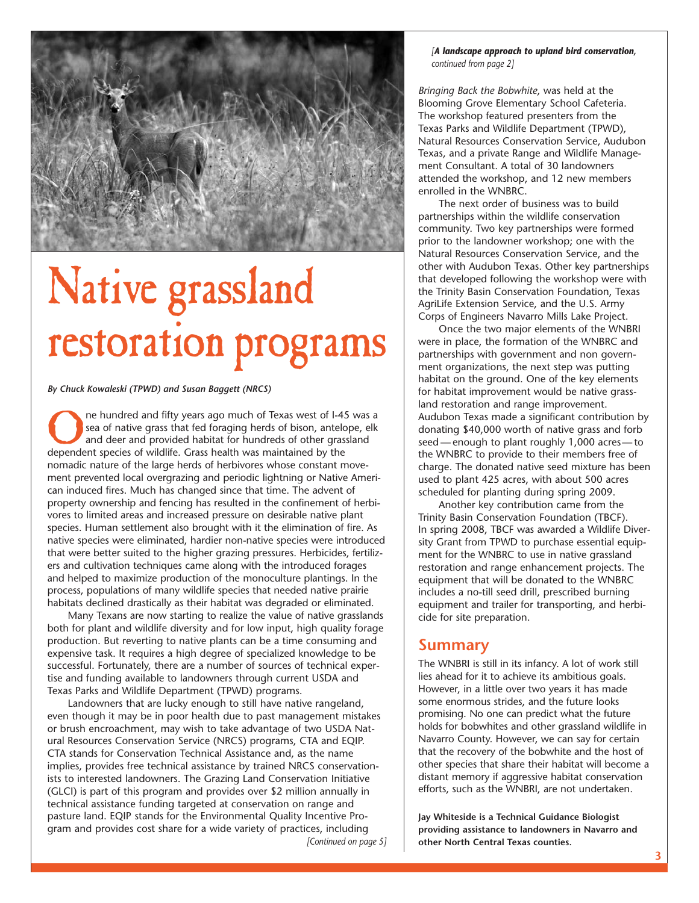

# Mative grassland that developed following the workshop were with  $\frac{1}{\text{total development of the Trinity Basin Conservation Foundation, Texas}$ Testoration programs  $\int_{\text{average the two major elements of the WNBRC and parterships with government and non govern-$

The hundred and fifty years ago much of Texas west of I-45 was a<br>
sea of native grass that fed foraging herds of bison, antelope, elk<br>
and deer and provided habitat for hundreds of other grassland<br>
dependent species of wil sea of native grass that fed foraging herds of bison, antelope, elk donating \$40,000 worth of native grass and forb dependent species of wildlife. Grass health was maintained by the the WNBRC to provide to their members free of nomadic nature of the large herds of herbivores whose constant move- charge. The donated native seed mixture has been ment prevented local overgrazing and periodic lightning or Native Ameri-<br>used to plant 425 acres, with about 500 acres can induced fires. Much has changed since that time. The advent of scheduled for planting during spring 2009. property ownership and fencing has resulted in the confinement of herbi- Another key contribution came from the vores to limited areas and increased pressure on desirable native plant Trinity Basin Conservation Foundation (TBCF). species. Human settlement also brought with it the elimination of fire. As  $\parallel$  In spring 2008, TBCF was awarded a Wildlife Divernative species were eliminated, hardier non-native species were introduced  $\frac{1}{\sqrt{1 - \frac{1}{\sqrt{1 + \frac{1}{\sqrt{1 + \frac{1}{\sqrt{1 + \frac{1}{\sqrt{1 + \frac{1}{\sqrt{1 + \frac{1}{\sqrt{1 + \frac{1}{\sqrt{1 + \frac{1}{\sqrt{1 + \frac{1}{\sqrt{1 + \frac{1}{\sqrt{1 + \frac{1}{\sqrt{1 + \frac{1}{\sqrt{1 + \frac{1}{\sqrt{1 + \frac{1}{$ that were better suited to the higher grazing pressures. Herbicides, fertiliz- nent for the WNBRC to use in native grassland ers and cultivation techniques came along with the introduced forages restoration and range enhancement projects. The and helped to maximize production of the monoculture plantings. In the equipment that will be donated to the WNBRC process, populations of many wildlife species that needed native prairie | includes a no-till seed drill, prescribed burning habitats declined drastically as their habitat was degraded or eliminated. <br>equipment and trailer for transporting, and herbi-

Many Texans are now starting to realize the value of native grasslands  $\left\vert \right.$  cide for site preparation. both for plant and wildlife diversity and for low input, high quality forage production. But reverting to native plants can be a time consuming and **Summary**<br> **Summary** expensive task. It requires a high degree of specialized knowledge to be<br> **Summary** The WNBRI is still in its infancy. A lot of wo successful. Fortunately, there are a number of sources of technical exper-<br>tise and funding available to landowners through current USDA and<br>lies ahead for it to achieve its ambitious goals. tise and funding available to landowners through current USDA and lies ahead for it to achieve its ambitious goals.<br>Texas Parks and Wildlife Department (TPWD) programs.

Landowners that are lucky enough to still have native rangeland,<br>I though it may be in poor health due to past management mistakes suppromising. No one can predict what the future even though it may be in poor health due to past management mistakes promising. No one can predict what the future<br>or brush encroachment, may wish to take advantage of two USDA Nat-<br>holds for bobwhites and other grassland or brush encroachment, may wish to take advantage of two USDA Nat-<br>ural Resources Conservation Service (NRCS) programs. CTA and FOIP. Navarro County. However, we can say for certain ural Resources Conservation Service (NRCS) programs, CTA and EQIP. Navarro County. However, we can say for certain<br>CTA stands for Conservation Technical Assistance and. as the name that the recovery of the bobwhite and the CTA stands for Conservation Technical Assistance and, as the name that the recovery of the bobwhite and the host of<br>implies, provides free technical assistance by trained NRCS conservation. Cother species that share their implies, provides free technical assistance by trained NRCS conservation-<br>ists to interested landowners. The Grazing Land Conservation Initiative distant memory if aggressive habitat conservation ists to interested landowners. The Grazing Land Conservation Initiative distant memory if aggressive habitat conservation<br>(GLCI) is part of this program and provides over \$2 million annually in efforts, such as the WNBRI, (GLCI) is part of this program and provides over \$2 million annually in technical assistance funding targeted at conservation on range and pasture land. EQIP stands for the Environmental Quality Incentive Pro- **Jay Whiteside is a Technical Guidance Biologist**  gram and provides cost share for a wide variety of practices, including **providing assistance to landowners in Navarro and** 

*[A landscape approach to upland bird conservation, continued from page 2]* 

*Bringing Back the Bobwhite*, was held at the Blooming Grove Elementary School Cafeteria. The workshop featured presenters from the Texas Parks and Wildlife Department (TPWD), Natural Resources Conservation Service, Audubon Texas, and a private Range and Wildlife Management Consultant. A total of 30 landowners attended the workshop, and 12 new members enrolled in the WNBRC.

The next order of business was to build partnerships within the wildlife conservation community. Two key partnerships were formed prior to the landowner workshop; one with the Natural Resources Conservation Service, and the other with Audubon Texas. Other key partnerships<br>that developed following the workshop were with AgriLife Extension Service, and the U.S. Army Corps of Engineers Navarro Mills Lake Project.

Once the two major elements of the WNBRI ment organizations, the next step was putting habitat on the ground. One of the key elements By Chuck Kowaleski (TPWD) and Susan Baggett (NRCS) **for the substantial community of the substantial community** of the native grassland restoration and range improvement.

Texas Parks and Wildlife Department (TPWD) programs.<br>I andowners that are lucky enough to still have native rangeland some enormous strides, and the future looks

*[Continued on page 5]* **other North Central Texas counties.**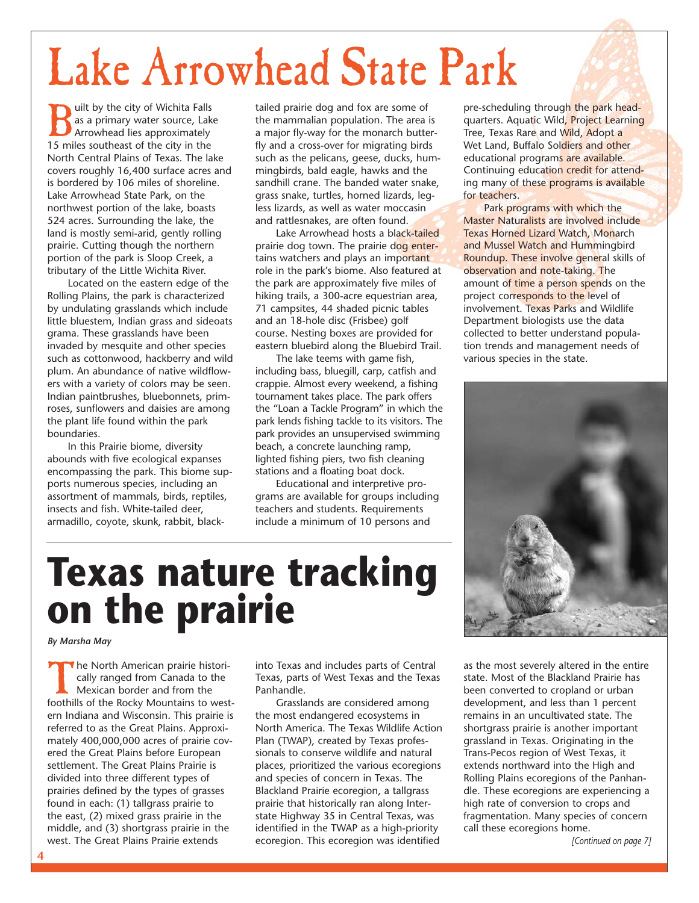# Lake Arrowhead State Park

**19 milt by the city of Wichita Falls**<br> **15 miles southeast of the city in the**<br> **15 miles southeast of the city in the** as a primary water source, Lake Arrowhead lies approximately North Central Plains of Texas. The lake covers roughly 16,400 surface acres and is bordered by 106 miles of shoreline. Lake Arrowhead State Park, on the northwest portion of the lake, boasts 524 acres. Surrounding the lake, the land is mostly semi-arid, gently rolling prairie. Cutting though the northern portion of the park is Sloop Creek, a tributary of the Little Wichita River.

Located on the eastern edge of the Rolling Plains, the park is characterized by undulating grasslands which include little bluestem, Indian grass and sideoats grama. These grasslands have been invaded by mesquite and other species such as cottonwood, hackberry and wild plum. An abundance of native wildflowers with a variety of colors may be seen. Indian paintbrushes, bluebonnets, primroses, sunflowers and daisies are among the plant life found within the park boundaries.

In this Prairie biome, diversity abounds with five ecological expanses encompassing the park. This biome supports numerous species, including an assortment of mammals, birds, reptiles, insects and fish. White-tailed deer, armadillo, coyote, skunk, rabbit, blacktailed prairie dog and fox are some of the mammalian population. The area is a major fly-way for the monarch butterfly and a cross-over for migrating birds such as the pelicans, geese, ducks, hummingbirds, bald eagle, hawks and the sandhill crane. The banded water snake, grass snake, turtles, horned lizards, legless lizards, as well as water moccasin and rattlesnakes, are often found.

Lake Arrowhead hosts a black-tailed prairie dog town. The prairie dog entertains watchers and plays an important role in the park's biome. Also featured at the park are approximately five miles of hiking trails, a 300-acre equestrian area, 71 campsites, 44 shaded picnic tables and an 18-hole disc (Frisbee) golf course. Nesting boxes are provided for eastern bluebird along the Bluebird Trail.

The lake teems with game fish, including bass, bluegill, carp, catfish and crappie. Almost every weekend, a fishing tournament takes place. The park offers the "Loan a Tackle Program" in which the park lends fishing tackle to its visitors. The park provides an unsupervised swimming beach, a concrete launching ramp, lighted fishing piers, two fish cleaning stations and a floating boat dock.

Educational and interpretive programs are available for groups including teachers and students. Requirements include a minimum of 10 persons and

pre-scheduling through the park headquarters. Aquatic Wild, Project Learning Tree, Texas Rare and Wild, Adopt a Wet Land, Buffalo Soldiers and other educational programs are available. Continuing education credit for attending many of these programs is available for teachers.

collected to better understand population trends and management needs of various species in the state. Park programs with which the Master Naturalists are involved include Texas Horned Lizard Watch, Monarch and Mussel Watch and Hummingbird Roundup. These involve general skills of observation and note-taking. The amount of time a person spends on the project corresponds to the level of involvement. Texas Parks and Wildlife Department biologists use the data



# **Texas nature tracking on the prairie**

*By Marsha May* 

The North American prairie historically ranged from Canada to the Mexican border and from the foothills of the Rocky Mountains to western Indiana and Wisconsin. This prairie is referred to as the Great Plains. Approximately 400,000,000 acres of prairie covered the Great Plains before European settlement. The Great Plains Prairie is divided into three different types of prairies defined by the types of grasses found in each: (1) tallgrass prairie to the east, (2) mixed grass prairie in the middle, and (3) shortgrass prairie in the west. The Great Plains Prairie extends

into Texas and includes parts of Central Texas, parts of West Texas and the Texas Panhandle.

Grasslands are considered among the most endangered ecosystems in North America. The Texas Wildlife Action Plan (TWAP), created by Texas professionals to conserve wildlife and natural places, prioritized the various ecoregions and species of concern in Texas. The Blackland Prairie ecoregion, a tallgrass prairie that historically ran along Interstate Highway 35 in Central Texas, was identified in the TWAP as a high-priority ecoregion. This ecoregion was identified

as the most severely altered in the entire state. Most of the Blackland Prairie has been converted to cropland or urban development, and less than 1 percent remains in an uncultivated state. The shortgrass prairie is another important grassland in Texas. Originating in the Trans-Pecos region of West Texas, it extends northward into the High and Rolling Plains ecoregions of the Panhandle. These ecoregions are experiencing a high rate of conversion to crops and fragmentation. Many species of concern call these ecoregions home.

*[Continued on page 7]*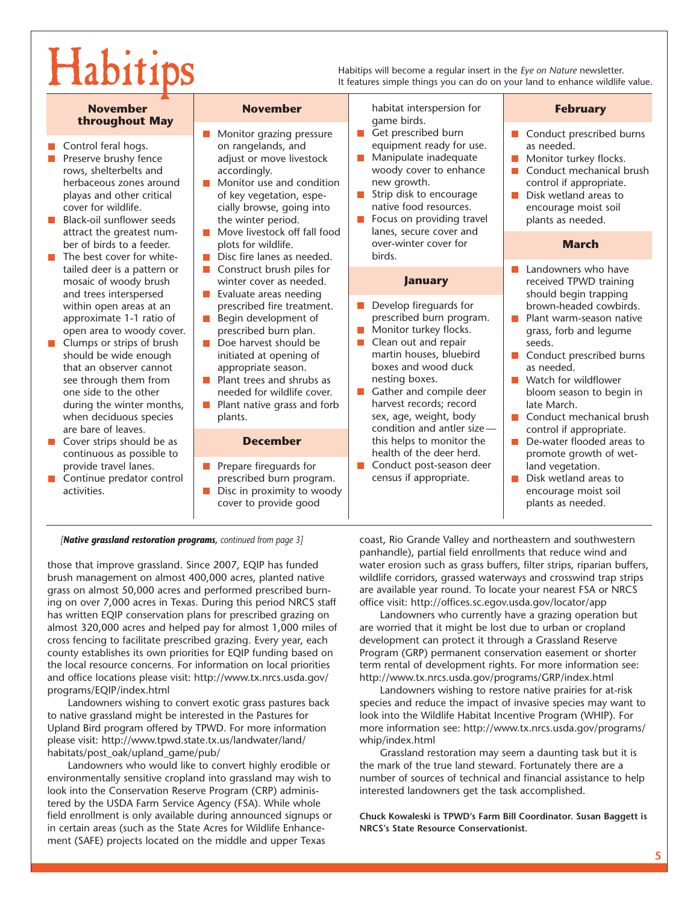Habitips will become a regular insert in the *Eye on Nature* newsletter.<br>It features simple things you can do on your land to enhance wildlife value.

## **throughout May game birds.** The Monitor grazing pressure **game state of the Section Property** Cet prescribed burn

- 
- $\mathcal{L}^{\text{max}}$ herbaceous zones around  $\begin{array}{|c|c|c|c|c|c|} \hline \text{Monitor} & \text{new growth.} & \text{control if appropriate.} \\ \text{plays and other critical} & \text{of key vegetation, } \text{espe} & \text{Is trip disk to the procedure of the image.} \end{array}$
- 
- tailed deer is a pattern or **Construct brush piles for** Landowners who have mosaic of woody brush winter cover as needed. mosaic of woody brush and trees interspersed Evaluate areas needing should begin trapping should begin trapping
- Clumps or strips of brush  $\Box$  Doe harvest should be  $\Box$  Clean out and repair seeds.<br>Should be wide enough initiated at opening of martin houses. bluebird  $\Box$  Condu see through them from Plant trees and shrubs as nesting boxes. Watch for wildflower
- 
- 

- Control feral hogs.  $\Box$  Control feral hogs.  $\Box$  on rangelands, and  $\Box$  equipment ready for use.  $\Box$  as needed.  $\Box$  Preserve brushy fence adjust or move livestock  $\Box$  Manipulate inadequate  $\Box$  Monitor turn Preserve brushy fence adjust or move livestock Manipulate inadequate Monitor turkey flocks.
	- playas and other critical  $\Box$  of key vegetation, espe-  $\Box$  Strip disk to encourage  $\Box$  Disk wetland areas to cover for wildlife. cially browse, going into native food resources. cover for wildlife.<br>
	Black-oil sunflower seeds the winter period. **E** Focus on providing travel plants as needed.
	- attract the greatest num-<br>https://wildlife.cover.cover.cover.cover.cover.cover.cover.cover.cover.cover.cover.cover.cover.cover.cover.cover<br>and the cover-winter cover for wildlife.cover.cover.cover.cover.cover.cover.cover.c
		- $\blacksquare$  Disc fire lanes as needed.
		-
		-
		-
		-
		-
		-

- provide travel lanes. **Prepare fireguards for Conduct post-season deer and vegetation.**<br>Continue predator control express or prescribed burn program. Consus if appropriate.
- activities. **Disc** in proximity to woody encourage moist soil encourage moist soil cover to provide good plants as needed.

**November November** habitat interspersion for **February** 

- 
- 
- 
- Focus on providing travel<br>lanes, secure cover and ber of birds to a feeder. plots for wildlife. over-winter cover for **March by the March in the State of the March**<br> **n** The best cover for white- **n** Disc fire lanes as needed. birds.

- within open areas at an prescribed fire treatment. Develop fireguards for brown-headed cowbirds.<br>approximate 1-1 ratio of Begin development of prescribed burn program.
	-
- should be wide enough  $\parallel$  initiated at opening of  $\parallel$  martin houses, bluebird  $\parallel$  Conduct prescribed burns that an observer cannot appropriate season. boxes and wood duck as needed.<br>  $\begin{array}{|l|l|}\n\hline\n\end{array}$  as needed.<br>  $\begin{array}{|l|l|}\n\hline\n\end{array}$  Plant trees and shrubs as  $\begin{array}{|l|l|}\n\hline\n\end{array}$  esting boxes.
- one side to the other **needed for wildlife cover.** Gather and compile deer bloom season to begin in during the winter months, **D** Plant native grass and forb harvest records; record ■ Plant native grass and forb harvest records; record late March.<br>
plants. and forb sex, age, weight, body ■ Conduct me are bare of leaves.<br>Cover strips should be as **December December** this helps to monitor the De-water flooded area **n** Cover strips should be as **December this helps to monitor the De-water flooded areas to continuous as possible to be above the deep health of the deer herd.**
- **Continue predator control example burn program.** census if appropriate.  $\Box$  Disk wetland areas to Disk wetland areas to

- **Monitor grazing pressure** Get prescribed burn **Conduct prescribed burns** 
	-
- rows, shelterbelts and accordingly.<br>
herbaceous zones around **N** Monitor use and condition new growth. **Example 20** control if appropriate.
	-

- 
- approximate 1-1 ratio of **B**egin development of prescribed burn program. Plant warm-season native approximate open area to woody cover. open area to woody cover. exprescribed burn plan. And Monitor turkey flocks. a grass, forb and legume clumps or strips of brush and Doe harvest should be  $\Box$  Clean out and repair
	-
	-
- when deciduous species | plants. sex, age, weight, body | Conduct mechanical brush
- continuous as possible to **the deel continuous** as possible to health of the deer herd. promote growth of wet-<br>provide travel lanes.
	-

*[Native grassland restoration programs, continued from page 3]* 

those that improve grassland. Since 2007, EQIP has funded brush management on almost 400,000 acres, planted native grass on almost 50,000 acres and performed prescribed burning on over 7,000 acres in Texas. During this period NRCS staff has written EQIP conservation plans for prescribed grazing on almost 320,000 acres and helped pay for almost 1,000 miles of cross fencing to facilitate prescribed grazing. Every year, each county establishes its own priorities for EQIP funding based on the local resource concerns. For information on local priorities and office locations please visit: http://www.tx.nrcs.usda.gov/ programs/EQIP/index.html

Landowners wishing to convert exotic grass pastures back to native grassland might be interested in the Pastures for Upland Bird program offered by TPWD. For more information please visit: http://www.tpwd.state.tx.us/landwater/land/ habitats/post\_oak/upland\_game/pub/

Landowners who would like to convert highly erodible or environmentally sensitive cropland into grassland may wish to look into the Conservation Reserve Program (CRP) administered by the USDA Farm Service Agency (FSA). While whole field enrollment is only available during announced signups or in certain areas (such as the State Acres for Wildlife Enhancement (SAFE) projects located on the middle and upper Texas

coast, Rio Grande Valley and northeastern and southwestern panhandle), partial field enrollments that reduce wind and water erosion such as grass buffers, filter strips, riparian buffers, wildlife corridors, grassed waterways and crosswind trap strips are available year round. To locate your nearest FSA or NRCS office visit: http://offices.sc.egov.usda.gov/locator/app

Landowners who currently have a grazing operation but are worried that it might be lost due to urban or cropland development can protect it through a Grassland Reserve Program (GRP) permanent conservation easement or shorter term rental of development rights. For more information see: http://www.tx.nrcs.usda.gov/programs/GRP/index.html

Landowners wishing to restore native prairies for at-risk species and reduce the impact of invasive species may want to look into the Wildlife Habitat Incentive Program (WHIP). For more information see: http://www.tx.nrcs.usda.gov/programs/ whip/index.html

Grassland restoration may seem a daunting task but it is the mark of the true land steward. Fortunately there are a number of sources of technical and financial assistance to help interested landowners get the task accomplished.

**Chuck Kowaleski is TPWD's Farm Bill Coordinator. Susan Baggett is NRCS's State Resource Conservationist.**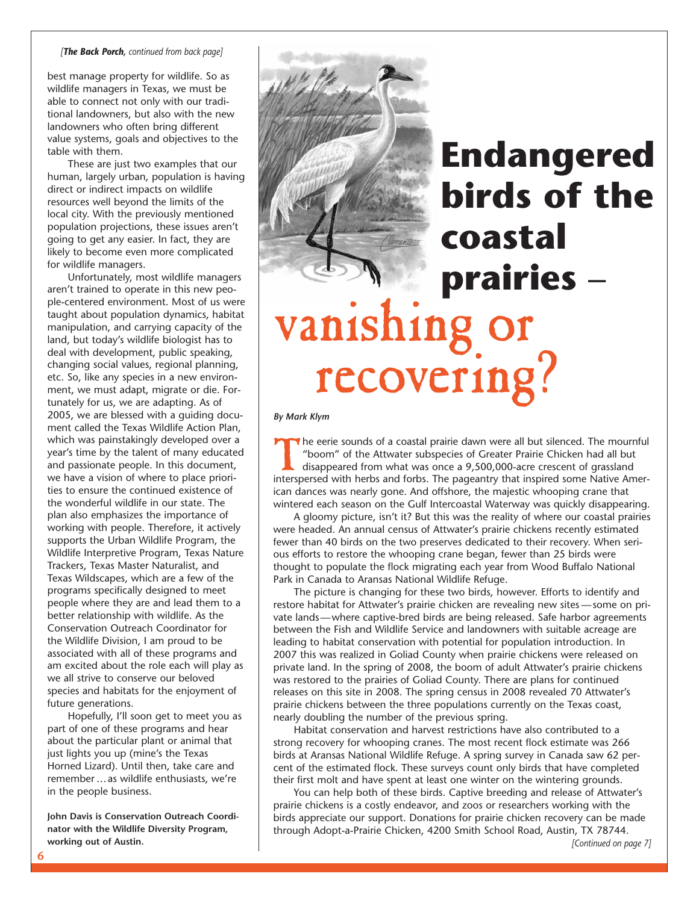## *[The Back Porch, continued from back page]*

best manage property for wildlife. So as wildlife managers in Texas, we must be able to connect not only with our traditional landowners, but also with the new landowners who often bring different value systems, goals and objectives to the table with them.

These are just two examples that our human, largely urban, population is having direct or indirect impacts on wildlife resources well beyond the limits of the local city. With the previously mentioned population projections, these issues aren't going to get any easier. In fact, they are likely to become even more complicated for wildlife managers.

Unfortunately, most wildlife managers aren't trained to operate in this new people-centered environment. Most of us were taught about population dynamics, habitat manipulation, and carrying capacity of the land, but today's wildlife biologist has to deal with development, public speaking, changing social values, regional planning, etc. So, like any species in a new environment, we must adapt, migrate or die. Fortunately for us, we are adapting. As of 2005, we are blessed with a guiding document called the Texas Wildlife Action Plan, which was painstakingly developed over a year's time by the talent of many educated and passionate people. In this document, we have a vision of where to place priorities to ensure the continued existence of the wonderful wildlife in our state. The plan also emphasizes the importance of working with people. Therefore, it actively supports the Urban Wildlife Program, the Wildlife Interpretive Program, Texas Nature Trackers, Texas Master Naturalist, and Texas Wildscapes, which are a few of the programs specifically designed to meet people where they are and lead them to a better relationship with wildlife. As the Conservation Outreach Coordinator for the Wildlife Division, I am proud to be associated with all of these programs and am excited about the role each will play as we all strive to conserve our beloved species and habitats for the enjoyment of future generations.

Hopefully, I'll soon get to meet you as part of one of these programs and hear about the particular plant or animal that just lights you up (mine's the Texas Horned Lizard). Until then, take care and remember …as wildlife enthusiasts, we're in the people business.

**John Davis is Conservation Outreach Coordinator with the Wildlife Diversity Program, working out of Austin.** 

# **Endangered birds of the coastal prairies** – vanishing **recovering**

*By Mark Klym* 

The eerie sounds of a coastal prairie dawn were all but silenced. The mournful "boom" of the Attwater subspecies of Greater Prairie Chicken had all but disappeared from what was once a 9,500,000-acre crescent of grassland interspersed with herbs and forbs. The pageantry that inspired some Native American dances was nearly gone. And offshore, the majestic whooping crane that wintered each season on the Gulf Intercoastal Waterway was quickly disappearing.

A gloomy picture, isn't it? But this was the reality of where our coastal prairies were headed. An annual census of Attwater's prairie chickens recently estimated fewer than 40 birds on the two preserves dedicated to their recovery. When serious efforts to restore the whooping crane began, fewer than 25 birds were thought to populate the flock migrating each year from Wood Buffalo National Park in Canada to Aransas National Wildlife Refuge.

The picture is changing for these two birds, however. Efforts to identify and restore habitat for Attwater's prairie chicken are revealing new sites —some on private lands—where captive-bred birds are being released. Safe harbor agreements between the Fish and Wildlife Service and landowners with suitable acreage are leading to habitat conservation with potential for population introduction. In 2007 this was realized in Goliad County when prairie chickens were released on private land. In the spring of 2008, the boom of adult Attwater's prairie chickens was restored to the prairies of Goliad County. There are plans for continued releases on this site in 2008. The spring census in 2008 revealed 70 Attwater's prairie chickens between the three populations currently on the Texas coast, nearly doubling the number of the previous spring.

Habitat conservation and harvest restrictions have also contributed to a strong recovery for whooping cranes. The most recent flock estimate was 266 birds at Aransas National Wildlife Refuge. A spring survey in Canada saw 62 percent of the estimated flock. These surveys count only birds that have completed their first molt and have spent at least one winter on the wintering grounds.

You can help both of these birds. Captive breeding and release of Attwater's prairie chickens is a costly endeavor, and zoos or researchers working with the birds appreciate our support. Donations for prairie chicken recovery can be made through Adopt-a-Prairie Chicken, 4200 Smith School Road, Austin, TX 78744.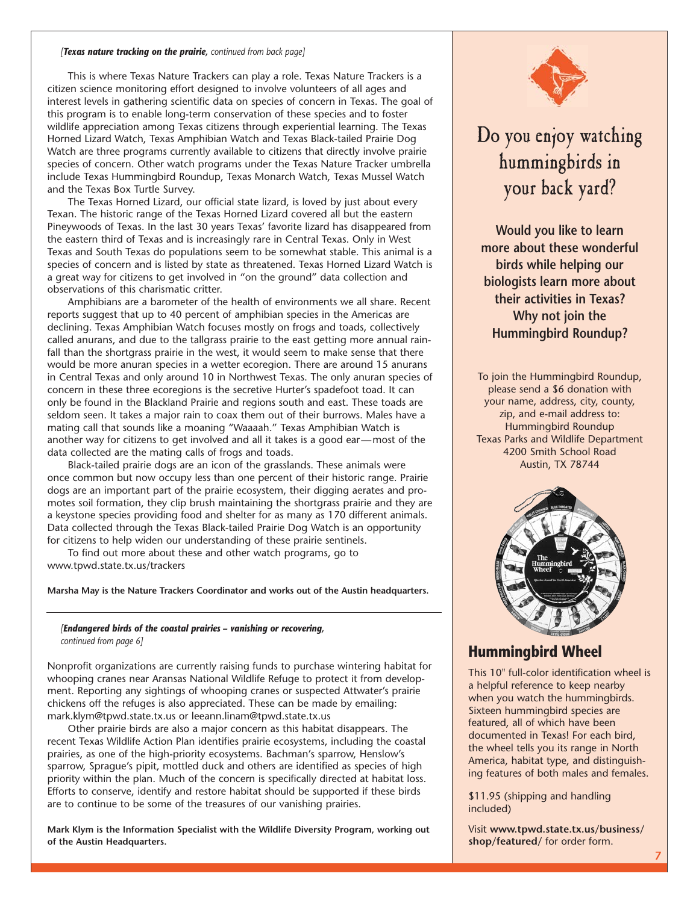### *[Texas nature tracking on the prairie, continued from back page]*

This is where Texas Nature Trackers can play a role. Texas Nature Trackers is a citizen science monitoring effort designed to involve volunteers of all ages and interest levels in gathering scientific data on species of concern in Texas. The goal of this program is to enable long-term conservation of these species and to foster wildlife appreciation among Texas citizens through experiential learning. The Texas Horned Lizard Watch, Texas Amphibian Watch and Texas Black-tailed Prairie Dog Watch are three programs currently available to citizens that directly involve prairie species of concern. Other watch programs under the Texas Nature Tracker umbrella include Texas Hummingbird Roundup, Texas Monarch Watch, Texas Mussel Watch and the Texas Box Turtle Survey.

The Texas Horned Lizard, our official state lizard, is loved by just about every Texan. The historic range of the Texas Horned Lizard covered all but the eastern Pineywoods of Texas. In the last 30 years Texas' favorite lizard has disappeared from the eastern third of Texas and is increasingly rare in Central Texas. Only in West Texas and South Texas do populations seem to be somewhat stable. This animal is a species of concern and is listed by state as threatened. Texas Horned Lizard Watch is a great way for citizens to get involved in "on the ground" data collection and observations of this charismatic critter.

Amphibians are a barometer of the health of environments we all share. Recent reports suggest that up to 40 percent of amphibian species in the Americas are declining. Texas Amphibian Watch focuses mostly on frogs and toads, collectively called anurans, and due to the tallgrass prairie to the east getting more annual rainfall than the shortgrass prairie in the west, it would seem to make sense that there would be more anuran species in a wetter ecoregion. There are around 15 anurans in Central Texas and only around 10 in Northwest Texas. The only anuran species of concern in these three ecoregions is the secretive Hurter's spadefoot toad. It can only be found in the Blackland Prairie and regions south and east. These toads are seldom seen. It takes a major rain to coax them out of their burrows. Males have a mating call that sounds like a moaning "Waaaah." Texas Amphibian Watch is another way for citizens to get involved and all it takes is a good ear—most of the data collected are the mating calls of frogs and toads.

Black-tailed prairie dogs are an icon of the grasslands. These animals were once common but now occupy less than one percent of their historic range. Prairie dogs are an important part of the prairie ecosystem, their digging aerates and promotes soil formation, they clip brush maintaining the shortgrass prairie and they are a keystone species providing food and shelter for as many as 170 different animals. Data collected through the Texas Black-tailed Prairie Dog Watch is an opportunity for citizens to help widen our understanding of these prairie sentinels.

To find out more about these and other watch programs, go to www.tpwd.state.tx.us/trackers

**Marsha May is the Nature Trackers Coordinator and works out of the Austin headquarters.** 

## *[Endangered birds of the coastal prairies – vanishing or recovering, continued from page 6]*

Nonprofit organizations are currently raising funds to purchase wintering habitat for whooping cranes near Aransas National Wildlife Refuge to protect it from development. Reporting any sightings of whooping cranes or suspected Attwater's prairie chickens off the refuges is also appreciated. These can be made by emailing: mark.klym@tpwd.state.tx.us or leeann.linam@tpwd.state.tx.us

Other prairie birds are also a major concern as this habitat disappears. The recent Texas Wildlife Action Plan identifies prairie ecosystems, including the coastal prairies, as one of the high-priority ecosystems. Bachman's sparrow, Henslow's sparrow, Sprague's pipit, mottled duck and others are identified as species of high priority within the plan. Much of the concern is specifically directed at habitat loss. Efforts to conserve, identify and restore habitat should be supported if these birds are to continue to be some of the treasures of our vanishing prairies.

**Mark Klym is the Information Specialist with the Wildlife Diversity Program, working out of the Austin Headquarters.** 



## Do you enjoy watching hummingbirds in your back yard?

**Would you like to learn more about these wonderful birds while helping our biologists learn more about their activities in Texas? Why not join the Hummingbird Roundup?** 

To join the Hummingbird Roundup, please send a \$6 donation with your name, address, city, county, zip, and e-mail address to: Hummingbird Roundup Texas Parks and Wildlife Department 4200 Smith School Road Austin, TX 78744



## **Hummingbird Wheel**

This 10" full-color identification wheel is a helpful reference to keep nearby when you watch the hummingbirds. Sixteen hummingbird species are featured, all of which have been documented in Texas! For each bird, the wheel tells you its range in North America, habitat type, and distinguishing features of both males and females.

\$11.95 (shipping and handling included)

Visit **www.tpwd.state.tx.us/business/ shop/featured/** for order form.